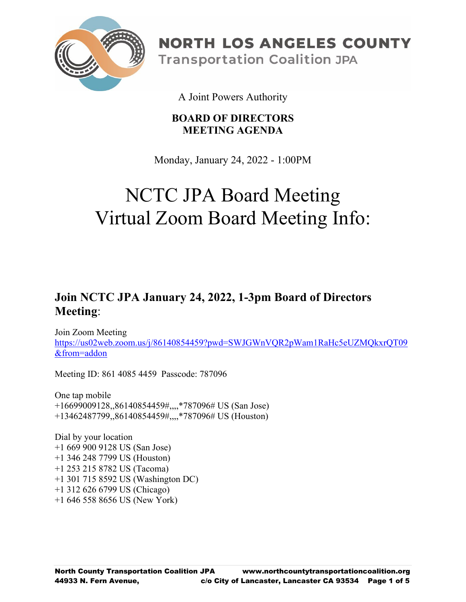

**NORTH LOS ANGELES COUNTY Transportation Coalition JPA** 

A Joint Powers Authority

### **BOARD OF DIRECTORS MEETING AGENDA**

Monday, January 24, 2022 - 1:00PM

# NCTC JPA Board Meeting Virtual Zoom Board Meeting Info:

## **Join NCTC JPA January 24, 2022, 1-3pm Board of Directors Meeting**:

Join Zoom Meeting [https://us02web.zoom.us/j/86140854459?pwd=SWJGWnVQR2pWam1RaHc5eUZMQkxrQT09](https://us02web.zoom.us/j/86140854459?pwd=SWJGWnVQR2pWam1RaHc5eUZMQkxrQT09&from=addon) [&from=addon](https://us02web.zoom.us/j/86140854459?pwd=SWJGWnVQR2pWam1RaHc5eUZMQkxrQT09&from=addon)

Meeting ID: 861 4085 4459 Passcode: 787096

One tap mobile +16699009128,,86140854459#,,,,\*787096# US (San Jose) +13462487799,,86140854459#,,,,\*787096# US (Houston)

Dial by your location +1 669 900 9128 US (San Jose) +1 346 248 7799 US (Houston) +1 253 215 8782 US (Tacoma) +1 301 715 8592 US (Washington DC) +1 312 626 6799 US (Chicago) +1 646 558 8656 US (New York)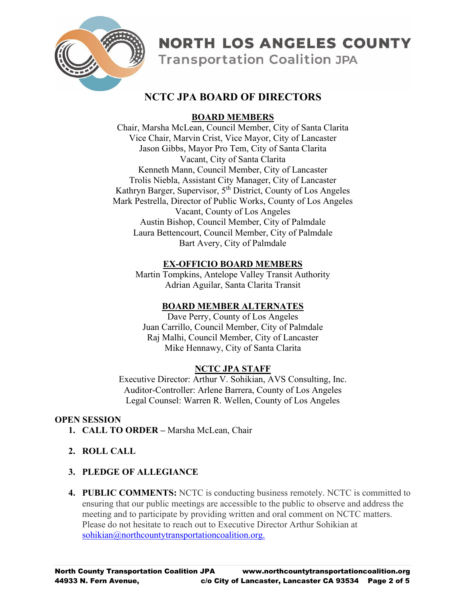

**Transportation Coalition JPA** 

### **NCTC JPA BOARD OF DIRECTORS**

#### **BOARD MEMBERS**

Chair, Marsha McLean, Council Member, City of Santa Clarita Vice Chair, Marvin Crist, Vice Mayor, City of Lancaster Jason Gibbs, Mayor Pro Tem, City of Santa Clarita Vacant, City of Santa Clarita Kenneth Mann, Council Member, City of Lancaster Trolis Niebla, Assistant City Manager, City of Lancaster Kathryn Barger, Supervisor, 5<sup>th</sup> District, County of Los Angeles Mark Pestrella, Director of Public Works, County of Los Angeles Vacant, County of Los Angeles Austin Bishop, Council Member, City of Palmdale Laura Bettencourt, Council Member, City of Palmdale Bart Avery, City of Palmdale

#### **EX-OFFICIO BOARD MEMBERS**

Martin Tompkins, Antelope Valley Transit Authority Adrian Aguilar, Santa Clarita Transit

#### **BOARD MEMBER ALTERNATES**

Dave Perry, County of Los Angeles Juan Carrillo, Council Member, City of Palmdale Raj Malhi, Council Member, City of Lancaster Mike Hennawy, City of Santa Clarita

#### **NCTC JPA STAFF**

Executive Director: Arthur V. Sohikian, AVS Consulting, Inc. Auditor-Controller: Arlene Barrera, County of Los Angeles Legal Counsel: Warren R. Wellen, County of Los Angeles

#### **OPEN SESSION**

- **1. CALL TO ORDER –** Marsha McLean, Chair
- **2. ROLL CALL**
- **3. PLEDGE OF ALLEGIANCE**
- **4. PUBLIC COMMENTS:** NCTC is conducting business remotely. NCTC is committed to ensuring that our public meetings are accessible to the public to observe and address the meeting and to participate by providing written and oral comment on NCTC matters. Please do not hesitate to reach out to Executive Director Arthur Sohikian at [sohikian@northcountytransportationcoalition.org.](mailto:sohikian@northcountytransportationcoalition.org)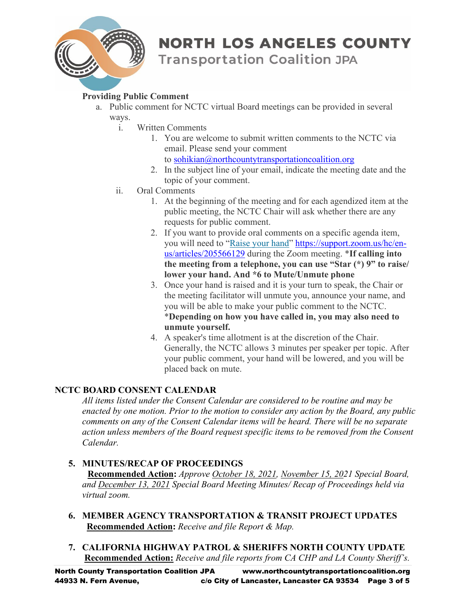

**Transportation Coalition JPA** 

#### **Providing Public Comment**

- a. Public comment for NCTC virtual Board meetings can be provided in several ways.
	- i. Written Comments
		- 1. You are welcome to submit written comments to the NCTC via email. Please send your comment
			- to [sohikian@northcountytransportationcoalition.org](mailto:sohikian@northcountytransportationcoalition.org)
		- 2. In the subject line of your email, indicate the meeting date and the topic of your comment.
	- ii. Oral Comments
		- 1. At the beginning of the meeting and for each agendized item at the public meeting, the NCTC Chair will ask whether there are any requests for public comment.
		- 2. If you want to provide oral comments on a specific agenda item, you will need to ["Raise your hand"](https://support.zoom.us/hc/en-us/articles/205566129-Raise-Hand-In-Webinar) [https://support.zoom.us/hc/en](https://support.zoom.us/hc/en-us/articles/205566129)[us/articles/205566129](https://support.zoom.us/hc/en-us/articles/205566129) during the Zoom meeting. \***If calling into the meeting from a telephone, you can use "Star (\*) 9" to raise/ lower your hand. And \*6 to Mute/Unmute phone**
		- 3. Once your hand is raised and it is your turn to speak, the Chair or the meeting facilitator will unmute you, announce your name, and you will be able to make your public comment to the NCTC. \***Depending on how you have called in, you may also need to unmute yourself.**
		- 4. A speaker's time allotment is at the discretion of the Chair. Generally, the NCTC allows 3 minutes per speaker per topic. After your public comment, your hand will be lowered, and you will be placed back on mute.

#### **NCTC BOARD CONSENT CALENDAR**

*All items listed under the Consent Calendar are considered to be routine and may be enacted by one motion. Prior to the motion to consider any action by the Board, any public comments on any of the Consent Calendar items will be heard. There will be no separate action unless members of the Board request specific items to be removed from the Consent Calendar.*

#### **5. MINUTES/RECAP OF PROCEEDINGS**

**Recommended Action:** *Approve October 18, 2021, November 15, 2021 Special Board, and December 13, 2021 Special Board Meeting Minutes/ Recap of Proceedings held via virtual zoom.*

- **6. MEMBER AGENCY TRANSPORTATION & TRANSIT PROJECT UPDATES Recommended Action:** *Receive and file Report & Map.*
- **7. CALIFORNIA HIGHWAY PATROL & SHERIFFS NORTH COUNTY UPDATE Recommended Action:** *Receive and file reports from CA CHP and LA County Sheriff's.*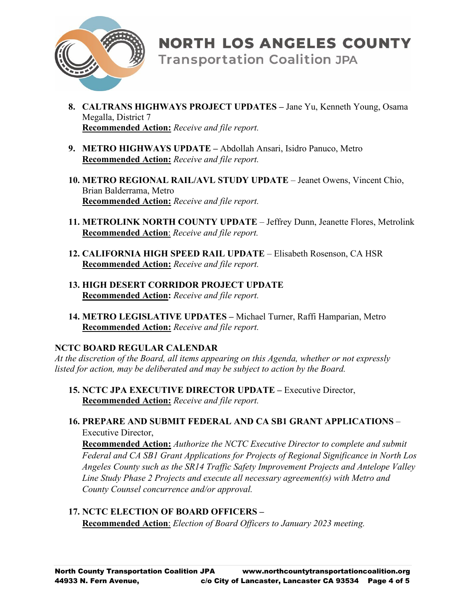

**Transportation Coalition JPA** 

- **8. CALTRANS HIGHWAYS PROJECT UPDATES –** Jane Yu, Kenneth Young, Osama Megalla, District 7 **Recommended Action:** *Receive and file report.*
- **9. METRO HIGHWAYS UPDATE –** Abdollah Ansari, Isidro Panuco, Metro **Recommended Action:** *Receive and file report.*
- **10. METRO REGIONAL RAIL/AVL STUDY UPDATE** Jeanet Owens, Vincent Chio, Brian Balderrama, Metro **Recommended Action:** *Receive and file report.*
- **11. METROLINK NORTH COUNTY UPDATE** Jeffrey Dunn, Jeanette Flores, Metrolink **Recommended Action**: *Receive and file report.*
- **12. CALIFORNIA HIGH SPEED RAIL UPDATE** Elisabeth Rosenson, CA HSR **Recommended Action:** *Receive and file report.*
- **13. HIGH DESERT CORRIDOR PROJECT UPDATE Recommended Action:** *Receive and file report.*
- **14. METRO LEGISLATIVE UPDATES –** Michael Turner, Raffi Hamparian, Metro **Recommended Action:** *Receive and file report.*

#### **NCTC BOARD REGULAR CALENDAR**

*At the discretion of the Board, all items appearing on this Agenda, whether or not expressly listed for action, may be deliberated and may be subject to action by the Board.*

- **15. NCTC JPA EXECUTIVE DIRECTOR UPDATE –** Executive Director, **Recommended Action:** *Receive and file report.*
- **16. PREPARE AND SUBMIT FEDERAL AND CA SB1 GRANT APPLICATIONS** Executive Director,

**Recommended Action:** *Authorize the NCTC Executive Director to complete and submit Federal and CA SB1 Grant Applications for Projects of Regional Significance in North Los Angeles County such as the SR14 Traffic Safety Improvement Projects and Antelope Valley Line Study Phase 2 Projects and execute all necessary agreement(s) with Metro and County Counsel concurrence and/or approval.*

**17. NCTC ELECTION OF BOARD OFFICERS – Recommended Action**: *Election of Board Officers to January 2023 meeting.*